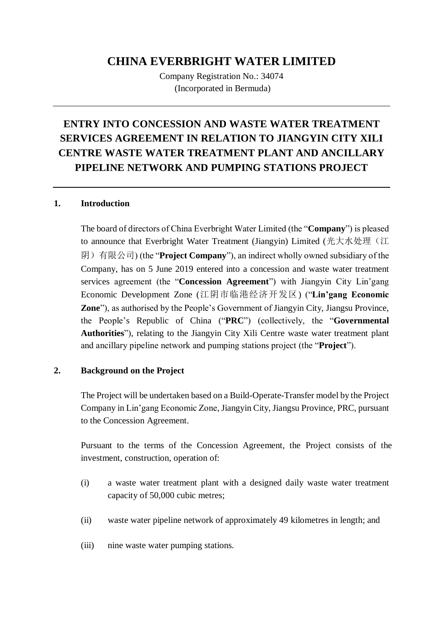# **CHINA EVERBRIGHT WATER LIMITED**

Company Registration No.: 34074 (Incorporated in Bermuda)

# **ENTRY INTO CONCESSION AND WASTE WATER TREATMENT SERVICES AGREEMENT IN RELATION TO JIANGYIN CITY XILI CENTRE WASTE WATER TREATMENT PLANT AND ANCILLARY PIPELINE NETWORK AND PUMPING STATIONS PROJECT**

#### **1. Introduction**

The board of directors of China Everbright Water Limited (the "**Company**") is pleased to announce that Everbright Water Treatment (Jiangyin) Limited (光大水处理(江 阴)有限公司) (the "**Project Company**"), an indirect wholly owned subsidiary of the Company, has on 5 June 2019 entered into a concession and waste water treatment services agreement (the "**Concession Agreement**") with Jiangyin City Lin'gang Economic Development Zone (江阴市临港经济开发区) ("**Lin'gang Economic Zone**"), as authorised by the People's Government of Jiangyin City, Jiangsu Province, the People's Republic of China ("**PRC**") (collectively, the "**Governmental Authorities**"), relating to the Jiangyin City Xili Centre waste water treatment plant and ancillary pipeline network and pumping stations project (the "**Project**").

#### **2. Background on the Project**

The Project will be undertaken based on a Build-Operate-Transfer model by the Project Company in Lin'gang Economic Zone, Jiangyin City, Jiangsu Province, PRC, pursuant to the Concession Agreement.

Pursuant to the terms of the Concession Agreement, the Project consists of the investment, construction, operation of:

- (i) a waste water treatment plant with a designed daily waste water treatment capacity of 50,000 cubic metres;
- (ii) waste water pipeline network of approximately 49 kilometres in length; and
- (iii) nine waste water pumping stations.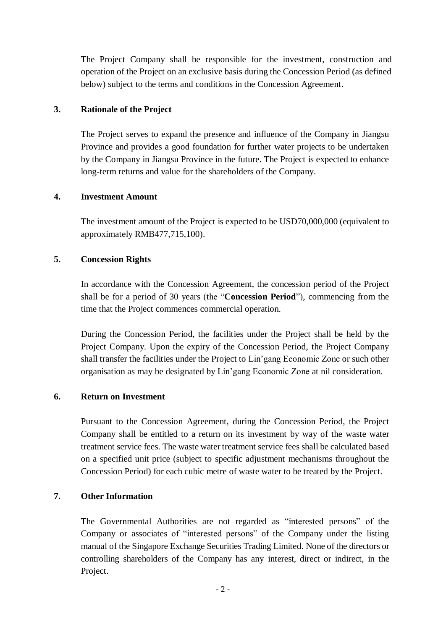The Project Company shall be responsible for the investment, construction and operation of the Project on an exclusive basis during the Concession Period (as defined below) subject to the terms and conditions in the Concession Agreement.

#### **3. Rationale of the Project**

The Project serves to expand the presence and influence of the Company in Jiangsu Province and provides a good foundation for further water projects to be undertaken by the Company in Jiangsu Province in the future. The Project is expected to enhance long-term returns and value for the shareholders of the Company.

#### **4. Investment Amount**

The investment amount of the Project is expected to be USD70,000,000 (equivalent to approximately RMB477,715,100).

### **5. Concession Rights**

In accordance with the Concession Agreement, the concession period of the Project shall be for a period of 30 years (the "**Concession Period**"), commencing from the time that the Project commences commercial operation.

During the Concession Period, the facilities under the Project shall be held by the Project Company. Upon the expiry of the Concession Period, the Project Company shall transfer the facilities under the Project to Lin'gang Economic Zone or such other organisation as may be designated by Lin'gang Economic Zone at nil consideration.

#### **6. Return on Investment**

Pursuant to the Concession Agreement, during the Concession Period, the Project Company shall be entitled to a return on its investment by way of the waste water treatment service fees. The waste water treatment service fees shall be calculated based on a specified unit price (subject to specific adjustment mechanisms throughout the Concession Period) for each cubic metre of waste water to be treated by the Project.

# **7. Other Information**

The Governmental Authorities are not regarded as "interested persons" of the Company or associates of "interested persons" of the Company under the listing manual of the Singapore Exchange Securities Trading Limited. None of the directors or controlling shareholders of the Company has any interest, direct or indirect, in the Project.